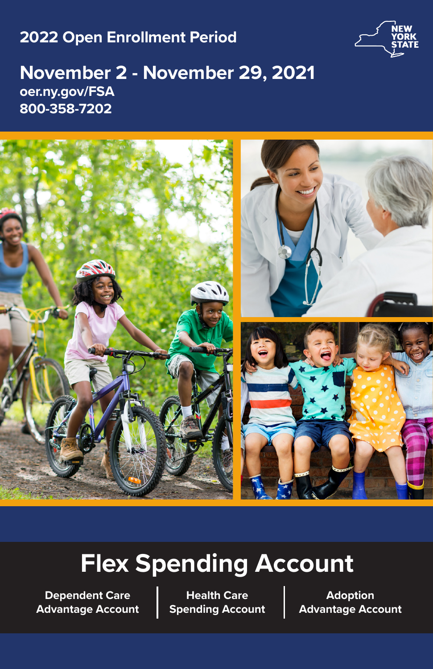# **2022 Open Enrollment Period**



# **November 2 - November 29, 2021 oer.ny.gov/FSA 800-358-7202**



# **Flex Spending Account**

**Dependent Care Advantage Account**

**Health Care Spending Account**

**Adoption Advantage Account**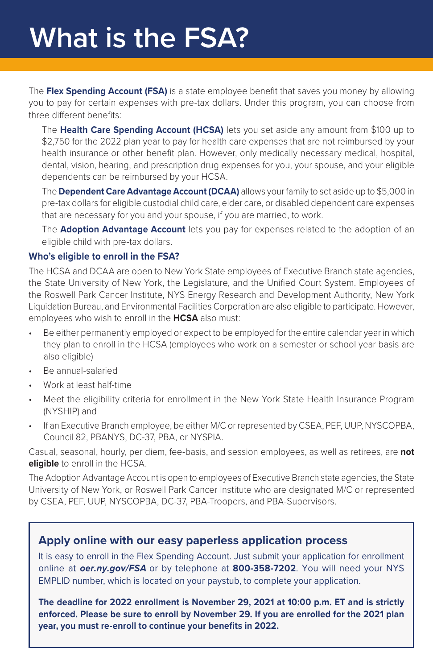The **Flex Spending Account (FSA)** is a state employee benefit that saves you money by allowing you to pay for certain expenses with pre-tax dollars. Under this program, you can choose from three different benefits:

The **Health Care Spending Account (HCSA)** lets you set aside any amount from \$100 up to \$2,750 for the 2022 plan year to pay for health care expenses that are not reimbursed by your health insurance or other benefit plan. However, only medically necessary medical, hospital, dental, vision, hearing, and prescription drug expenses for you, your spouse, and your eligible dependents can be reimbursed by your HCSA.

The **Dependent Care Advantage Account (DCAA)** allows your family to set aside up to \$5,000 in pre-tax dollars for eligible custodial child care, elder care, or disabled dependent care expenses that are necessary for you and your spouse, if you are married, to work.

The **Adoption Advantage Account** lets you pay for expenses related to the adoption of an eligible child with pre-tax dollars.

#### **Who's eligible to enroll in the FSA?**

The HCSA and DCAA are open to New York State employees of Executive Branch state agencies, the State University of New York, the Legislature, and the Unified Court System. Employees of the Roswell Park Cancer Institute, NYS Energy Research and Development Authority, New York Liquidation Bureau, and Environmental Facilities Corporation are also eligible to participate. However, employees who wish to enroll in the **HCSA** also must:

- Be either permanently employed or expect to be employed for the entire calendar year in which they plan to enroll in the HCSA (employees who work on a semester or school year basis are also eligible)
- Be annual-salaried
- Work at least half-time
- Meet the eligibility criteria for enrollment in the New York State Health Insurance Program (NYSHIP) and
- If an Executive Branch employee, be either M/C or represented by CSEA, PEF, UUP, NYSCOPBA, Council 82, PBANYS, DC-37, PBA, or NYSPIA.

Casual, seasonal, hourly, per diem, fee-basis, and session employees, as well as retirees, are **not eligible** to enroll in the HCSA.

The Adoption Advantage Account is open to employees of Executive Branch state agencies, the State University of New York, or Roswell Park Cancer Institute who are designated M/C or represented by CSEA, PEF, UUP, NYSCOPBA, DC-37, PBA-Troopers, and PBA-Supervisors.

## **Apply online with our easy paperless application process**

It is easy to enroll in the Flex Spending Account. Just submit your application for enrollment online at *oer.ny.gov/FSA* or by telephone at **800-358-7202**. You will need your NYS EMPLID number, which is located on your paystub, to complete your application.

**The deadline for 2022 enrollment is November 29, 2021 at 10:00 p.m. ET and is strictly enforced. Please be sure to enroll by November 29. If you are enrolled for the 2021 plan year, you must re-enroll to continue your benefits in 2022.**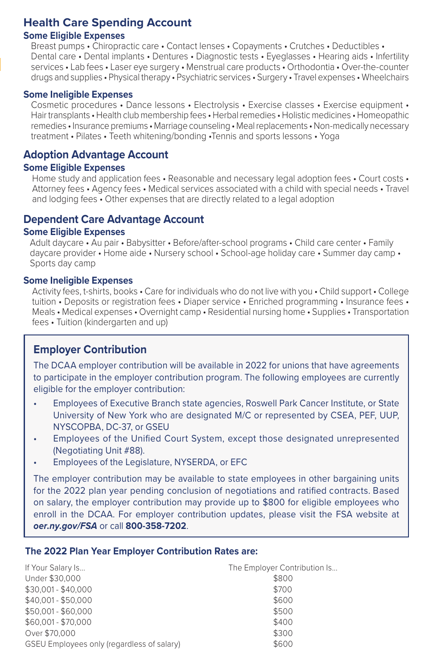## **Health Care Spending Account**

#### **Some Eligible Expenses**

Breast pumps • Chiropractic care • Contact lenses • Copayments • Crutches • Deductibles • Dental care • Dental implants • Dentures • Diagnostic tests • Eyeglasses • Hearing aids • Infertility services • Lab fees • Laser eye surgery • Menstrual care products • Orthodontia • Over-the-counter drugs and supplies • Physical therapy • Psychiatric services • Surgery • Travel expenses • Wheelchairs

#### **Some Ineligible Expenses**

Cosmetic procedures • Dance lessons • Electrolysis • Exercise classes • Exercise equipment • Hair transplants • Health club membership fees • Herbal remedies • Holistic medicines • Homeopathic remedies • Insurance premiums • Marriage counseling • Meal replacements • Non-medically necessary treatment • Pilates • Teeth whitening/bonding •Tennis and sports lessons • Yoga

### **Adoption Advantage Account**

#### **Some Eligible Expenses**

Home study and application fees • Reasonable and necessary legal adoption fees • Court costs • Attorney fees • Agency fees • Medical services associated with a child with special needs • Travel and lodging fees • Other expenses that are directly related to a legal adoption

### **Dependent Care Advantage Account**

#### **Some Eligible Expenses**

Adult daycare • Au pair • Babysitter • Before/after-school programs • Child care center • Family daycare provider • Home aide • Nursery school • School-age holiday care • Summer day camp • Sports day camp

#### **Some Ineligible Expenses**

Activity fees, t-shirts, books • Care for individuals who do not live with you • Child support • College tuition • Deposits or registration fees • Diaper service • Enriched programming • Insurance fees • Meals • Medical expenses • Overnight camp • Residential nursing home • Supplies • Transportation fees • Tuition (kindergarten and up)

### **Employer Contribution**

The DCAA employer contribution will be available in 2022 for unions that have agreements to participate in the employer contribution program. The following employees are currently eligible for the employer contribution:

- Employees of Executive Branch state agencies, Roswell Park Cancer Institute, or State University of New York who are designated M/C or represented by CSEA, PEF, UUP, NYSCOPBA, DC-37, or GSEU
- Employees of the Unified Court System, except those designated unrepresented (Negotiating Unit #88).
- Employees of the Legislature, NYSERDA, or EFC

The employer contribution may be available to state employees in other bargaining units for the 2022 plan year pending conclusion of negotiations and ratified contracts. Based on salary, the employer contribution may provide up to \$800 for eligible employees who enroll in the DCAA. For employer contribution updates, please visit the FSA website at *oer.ny.gov/FSA* or call **800-358-7202**.

#### **The 2022 Plan Year Employer Contribution Rates are:**

| If Your Salary Is                          | The Employer Contribution Is |
|--------------------------------------------|------------------------------|
| Under \$30,000                             | \$800                        |
| \$30,001 - \$40,000                        | \$700                        |
| \$40,001 - \$50,000                        | \$600                        |
| \$50,001 - \$60,000                        | \$500                        |
| \$60,001 - \$70,000                        | \$400                        |
| Over \$70,000                              | \$300                        |
| GSEU Employees only (regardless of salary) | \$600                        |